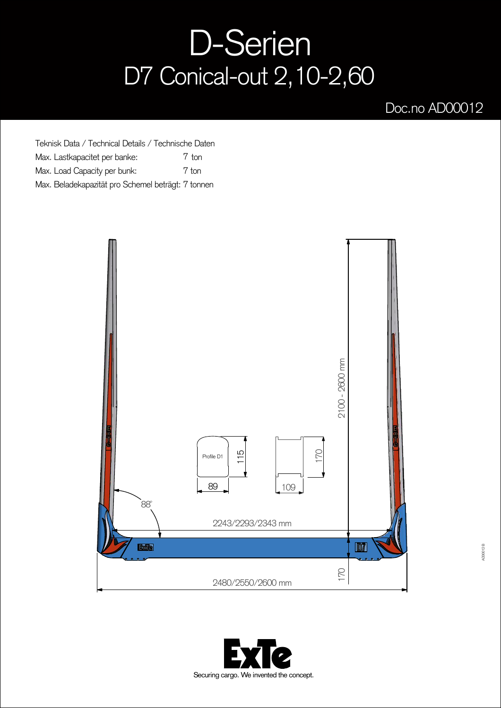## D-Serien D7 Conical-out 2,10-2,60

## Doc.no AD00012

Teknisk Data / Technical Details / Technische Daten Max. Lastkapacitet per banke: Max. Load Capacity per bunk: Max. Beladekapazität pro Schemel beträgt: 7 tonnen 7 ton 7 ton